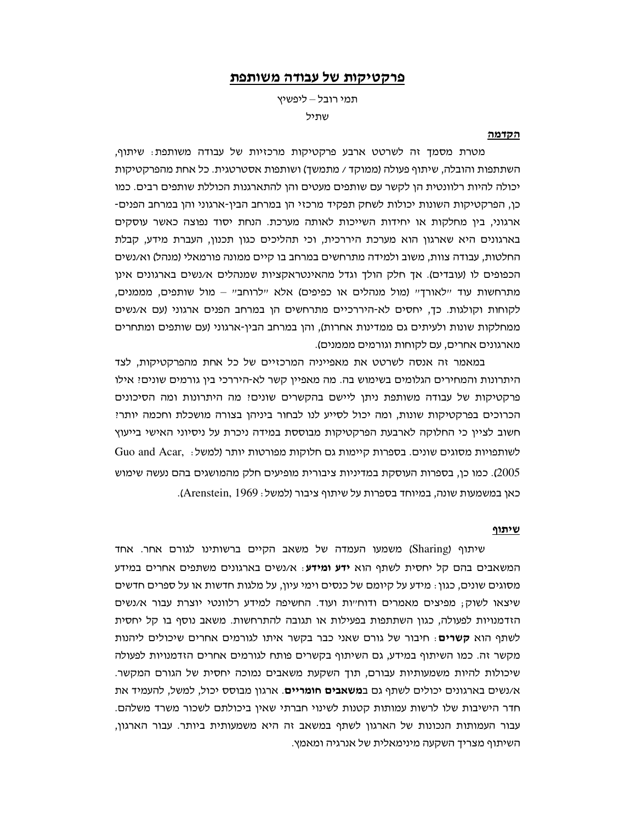# פרקטיקות של עבודה משותפת

תמי רובל – ליפשיץ שתיל

### הקדמה

מטרת מסמך זה לשרטט ארבע פרקטיקות מרכזיות של עבודה משותפת: שיתוף, השתתפות והובלה, שיתוף פעולה (ממוקד / מתמשך) ושותפות אסטרטגית. כל אחת מהפרקטיקות יכולה להיות רלוונטית הן לקשר עם שותפים מעטים והן להתארגנות הכוללת שותפים רבים. כמו כן, הפרקטיקות השונות יכולות לשחק תפקיד מרכזי הן במרחב הבין-ארגוני והן במרחב הפנים-ארגוני, בין מחלקות או יחידות השייכות לאותה מערכת. הנחת יסוד נפוצה כאשר עוסקים בארגונים היא שארגון הוא מערכת היררכית, וכי תהליכים כגון תכנון, העברת מידע, קבלת החלטות, עבודה צוות, משוב ולמידה מתרחשים במרחב בו קיים ממונה פורמאלי (מנהל) וא/נשים הכפופים לו (עובדים). אך חלק הולך וגדל מהאינטראקציות שמנהלים א/נשים בארגונים אינן מתרחשות עוד יילאורךיי (מול מנהלים או כפיפים) אלא יילרוחביי – מול שותפים, מממנים, לקוחות וקולגות. כד, יחסים לא-היררכיים מתרחשים הן במרחב הפנים ארגוני (עם א/נשים ממחלקות שונות ולעיתים גם ממדינות אחרות), והן במרחב הבין-ארגוני (עם שותפים ומתחרים מארגונים אחרים, עם לקוחות וגורמים מממנים).

במאמר זה אנסה לשרטט את מאפייניה המרכזיים של כל אחת מהפרקטיקות, לצד היתרונות והמחירים הגלומים בשימוש בה. מה מאפיין קשר לא-היררכי בין גורמים שונים: אילו פרקטיקות של עבודה משותפת ניתן ליישם בהקשרים שונים! מה היתרונות ומה הסיכונים הכרוכים בפרקטיקות שונות, ומה יכול לסייע לנו לבחור ביניהן בצורה מושכלת וחכמה יותר? חשוב לציין כי החלוקה לארבעת הפרקטיקות מבוססת במידה ניכרת על ניסיוני האישי בייעוץ לשותפויות מסוגים שונים. בספרות קיימות גם חלוקות מפורטות יותר (למשל: .Guo and Acar 2005). כמו כן, בספרות העוסקת במדיניות ציבורית מופיעים חלק מהמושגים בהם נעשה שימוש כאו במשמעות שונה. במיוחד בספרות על שיתוף ציבור (למשל: Arenstein, 1969).

# <u>שיתוף</u>

שיתוף (Sharing) משמעו העמדה של משאב הקיים ברשותינו לגורם אחר. אחד המשאבים בהם קל יחסית לשתף הוא ידע ומידע: א/נשים בארגונים משתפים אחרים במידע מסוגים שונים, כגון : מידע על קיומם של כנסים וימי עיון, על מלגות חדשות או על ספרים חדשים שיצאו לשוק; מפיצים מאמרים ודוח״ות ועוד. החשיפה למידע רלוונטי יוצרת עבור א/נשים הזדמנויות לפעולה, כגון השתתפות בפעילות או תגובה להתרחשות. משאב נוסף בו קל יחסית לשתף הוא **קשרים**: חיבור של גורם שאני כבר בקשר איתו לגורמים אחרים שיכולים ליהנות מקשר זה. כמו השיתוף במידע, גם השיתוף בקשרים פותח לגורמים אחרים הזדמנויות לפעולה שיכולות להיות משמעותיות עבורם, תוך השקעת משאבים נמוכה יחסית של הגורם המקשר. א/נשים בארגונים יכולים לשתף גם ב**משאבים חומריים**. ארגון מבוסס יכול, למשל, להעמיד את חדר הישיבות שלו לרשות עמותות קטנות לשינוי חברתי שאין ביכולתם לשכור משרד משלהם. עבור העמותות הנכונות של הארגון לשתף במשאב זה היא משמעותית ביותר. עבור הארגון, השיתוף מצריך השקעה מינימאלית של אנרגיה ומאמץ.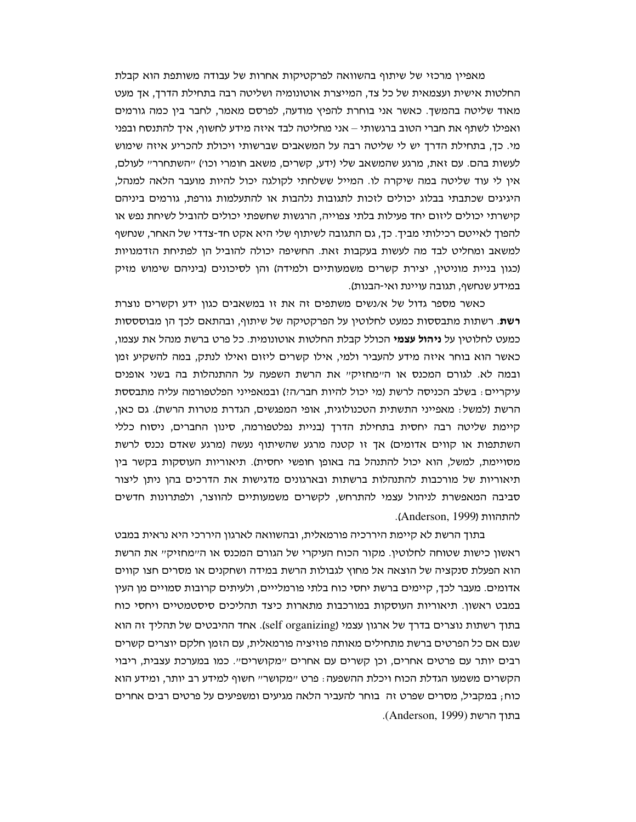מאפיין מרכזי של שיתוף בהשוואה לפרקטיקות אחרות של עבודה משותפת הוא קבלת החלטות אישית ועצמאית של כל צד, המייצרת אוטונומיה ושליטה רבה בתחילת הדרך, אך מעט מאוד שליטה בהמשך. כאשר אני בוחרת להפיץ מודעה, לפרסם מאמר, לחבר בין כמה גורמים ואפילו לשתף את חברי הטוב ברגשותי – אני מחליטה לבד איזה מידע לחשוף, איך להתנסח ובפני מי. כך, בתחילת הדרך יש לי שליטה רבה על המשאבים שברשותי ויכולת להכריע איזה שימוש לעשות בהם. עם זאת, מרגע שהמשאב שלי (ידע, קשרים, משאב חומרי וכו׳) ייהשתחרריי לעולם, אין לי עוד שליטה במה שיקרה לו. המייל ששלחתי לקולגה יכול להיות מועבר הלאה למנהל, היגיגים שכתבתי בבלוג יכולים לזכות לתגובות נלהבות או להתעלמות גורפת, גורמים ביניהם קישרתי יכולים ליזום יחד פעילות בלתי צפוייה, הרגשות שחשפתי יכולים להוביל לשיחת נפש או להפוך לאייטם רכילותי מביך. כך, גם התגובה לשיתוף שלי היא אקט חד-צדדי של האחר, שנחשף למשאב ומחליט לבד מה לעשות בעקבות זאת. החשיפה יכולה להוביל הן לפתיחת הזדמנויות (כגון בניית מוניטין, יצירת קשרים משמעותיים ולמידה) והן לסיכונים (ביניהם שימוש מזיק במידע שנחשף, תגובה עויינת ואי-הבנות).

כאשר מספר גדול של א/נשים משתפים זה את זו במשאבים כגון ידע וקשרים נוצרת **רשת**. רשתות מתבססות כמעט לחלוטיו על הפרקטיקה של שיתוף, ובהתאם לכד הו מבוסססות כמעט לחלוטין על **ניהול עצמי** הכולל קבלת החלטות אוטונומית. כל פרט ברשת מנהל את עצמו, כאשר הוא בוחר איזה מידע להעביר ולמי, אילו קשרים ליזום ואילו לנתק, במה להשקיע זמן ובמה לא. לגורם המכנס או היימחזיקיי את הרשת השפעה על ההתנהלות בה בשני אופנים עיקריים: בשלב הכניסה לרשת (מי יכול להיות חבר/ה?) ובמאפייני הפלטפורמה עליה מתבססת הרשת (למשל: מאפייני התשתית הטכנולוגית, אופי המפגשים, הגדרת מטרות הרשת). גם כאן, קיימת שליטה רבה יחסית בתחילת הדרך (בניית נפלטפורמה, סינון החברים, ניסוח כללי השתתפות או קווים אדומים) אך זו קטנה מרגע שהשיתוף נעשה (מרגע שאדם נכנס לרשת מסויימת, למשל, הוא יכול להתנהל בה באופן חופשי יחסית). תיאוריות העוסקות בקשר בין תיאוריות של מורכבות להתנהלות ברשתות ובארגונים מדגישות את הדרכים בהן ניתן ליצור סביבה המאפשרת לניהול עצמי להתרחש, לקשרים משמעותיים להווצר, ולפתרונות חדשים להתהוות (Anderson, 1999).

בתוך הרשת לא קיימת היררכיה פורמאלית, ובהשוואה לארגון היררכי היא נראית במבט ראשון כישות שטוחה לחלוטין. מקור הכוח העיקרי של הגורם המכנס או ה״מחזיק״ את הרשת הוא הפעלת סנקציה של הוצאה אל מחוץ לגבולות הרשת במידה ושחקנים או מסרים חצו קווים אדומים. מעבר לכך, קיימים ברשת יחסי כוח בלתי פורמלייים, ולעיתים קרובות סמויים מן העין במבט ראשון. תיאוריות העוסקות במורכבות מתארות כיצד תהליכים סיסטמטיים ויחסי כוח בתוך רשתות נוצרים בדרך של ארגון עצמי (self organizing). אחד ההיבטים של תהליך זה הוא שגם אם כל הפרטים ברשת מתחילים מאותה פוזיציה פורמאלית, עם הזמן חלקם יוצרים קשרים רבים יותר עם פרטים אחרים, וכן קשרים עם אחרים "מקושרים". כמו במערכת עצבית, ריבוי הקשרים משמעו הגדלת הכוח ויכלת ההשפעה: פרט "מקושר" חשוף למידע רב יותר, ומידע הוא כוח; במקביל, מסרים שפרט זה בוחר להעביר הלאה מגיעים ומשפיעים על פרטים רבים אחרים . בתוך הרשת (Anderson, 1999).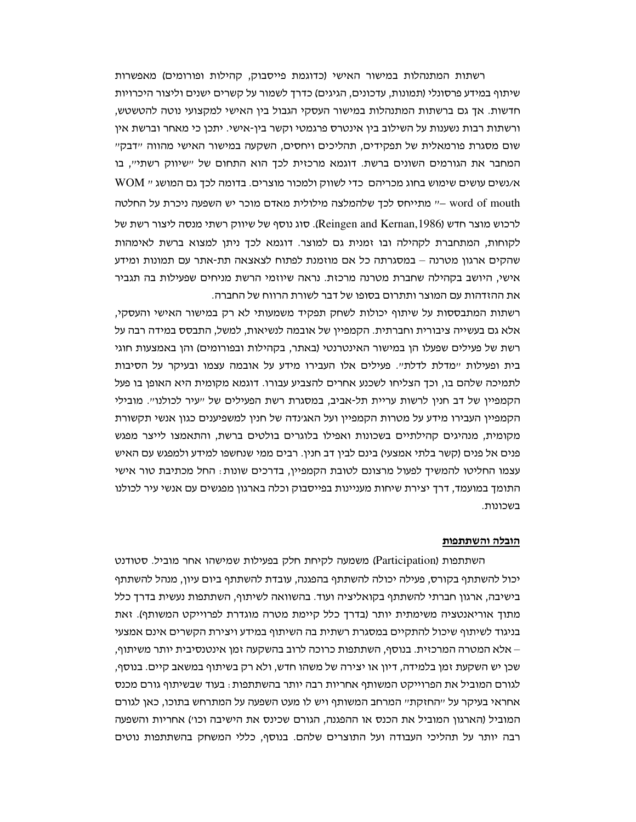רשתות המתנהלות במישור האישי (כדוגמת פייסבוק, קהילות ופורומים) מאפשרות שיתוף במידע פרסונלי (תמונות, עדכונים, הגיגים) כדרך לשמור על קשרים ישנים וליצור היכרויות חדשות. אך גם ברשתות המתנהלות במישור העסקי הגבול בין האישי למקצועי נוטה להטשטש, ורשתות רבות נשענות על השילוב בין אינטרס פרגמטי וקשר בין-אישי. יתכן כי מאחר וברשת אין שום מסגרת פורמאלית של תפקידים, תהליכים ויחסים, השקעה במישור האישי מהווה ״דבק״ המחבר את הגורמים השונים ברשת. דוגמא מרכזית לכך הוא התחום של ישיווק רשתייי, בו א/נשים עושים שימוש בחוג מכריהם כדי לשווק ולמכור מוצרים. בדומה לכך גם המושג יי WOM word of mouth -" מתייחס לכך שלהמלצה מילולית מאדם מוכר יש השפעה ניכרת על החלטה לרכוש מוצר חדש (Reingen and Kernan,1986). סוג נוסף של שיווק רשתי מנסה ליצור רשת של לקוחות, המתחברת לקהילה ובו זמנית גם למוצר. דוגמא לכך ניתן למצוא ברשת לאימהות שהקים ארגון מטרנה – במסגרתה כל אם מוזמנת לפתוח לצאצאה תת-אתר עם תמונות ומידע אישי, היושב בקהילה שחברת מטרנה מרכזת. נראה שיוזמי הרשת מניחים שפעילות בה תגביר את ההזדהות עם המוצר ותתרום בסופו של דבר לשורת הרווח של החברה.

רשתות המתבססות על שיתוף יכולות לשחק תפקיד משמעותי לא רק במישור האישי והעסקי, אלא גם בעשייה ציבורית וחברתית. הקמפיין של אובמה לנשיאות, למשל, התבסס במידה רבה על רשת של פעילים שפעלו הן במישור האינטרנטי (באתר, בקהילות ובפורומים) והן באמצעות חוגי בית ופעילות "מדלת לדלת". פעילים אלו העבירו מידע על אובמה עצמו ובעיקר על הסיבות לתמיכה שלהם בו, וכך הצליחו לשכנע אחרים להצביע עבורו. דוגמא מקומית היא האופן בו פעל הקמפיין של דב חנין לרשות עריית תל-אביב, במסגרת רשת הפעילים של ייעיר לכולנויי. מובילי הקמפיין העבירו מידע על מטרות הקמפיין ועל האגינדה של חנין למשפיענים כגון אנשי תקשורת מקומית, מנהיגים קהילתיים בשכונות ואפילו בלוגרים בולטים ברשת, והתאמצו לייצר מפגש פנים אל פנים (קשר בלתי אמצעי) בינם לבין דב חנין. רבים ממי שנחשפו למידע ולמפגש עם האיש עצמו החליטו להמשיד לפעול מרצונם לטובת הקמפיין, בדרכים שונות: החל מכתיבת טור אישי התומך במועמד, דרך יצירת שיחות מעניינות בפייסבוק וכלה בארגון מפגשים עם אנשי עיר לכולנו בשכונות.

#### הובלה והשתתפות

השתתפות (Participation) משמעה לקיחת חלק בפעילות שמישהו אחר מוביל. סטודנט יכול להשתתף בקורס, פעילה יכולה להשתתף בהפגנה, עובדת להשתתף ביום עיון, מנהל להשתתף בישיבה, ארגון חברתי להשתתף בקואליציה ועוד. בהשוואה לשיתוף, השתתפות נעשית בדרך כלל מתוך אוריאנטציה משימתית יותר (בדרך כלל קיימת מטרה מוגדרת לפרוייקט המשותף). זאת בניגוד לשיתוף שיכול להתקיים במסגרת רשתית בה השיתוף במידע ויצירת הקשרים אינם אמצעי – אלא המטרה המרכזית. בנוסף, השתתפות כרוכה לרוב בהשקעה זמן אינטנסיבית יותר משיתוף, שכן יש השקעת זמן בלמידה, דיון או יצירה של משהו חדש, ולא רק בשיתוף במשאב קיים. בנוסף, לגורם המוביל את הפרוייקט המשותף אחריות רבה יותר בהשתתפות : בעוד שבשיתוף גורם מכנס אחראי בעיקר על ״החזקת״ המרחב המשותף ויש לו מעט השפעה על המתרחש בתוכו, כאן לגורם המוביל (הארגון המוביל את הכנס או ההפגנה, הגורם שכינס את הישיבה וכו׳) אחריות והשפעה רבה יותר על תהליכי העבודה ועל התוצרים שלהם. בנוסף, כללי המשחק בהשתתפות נוטים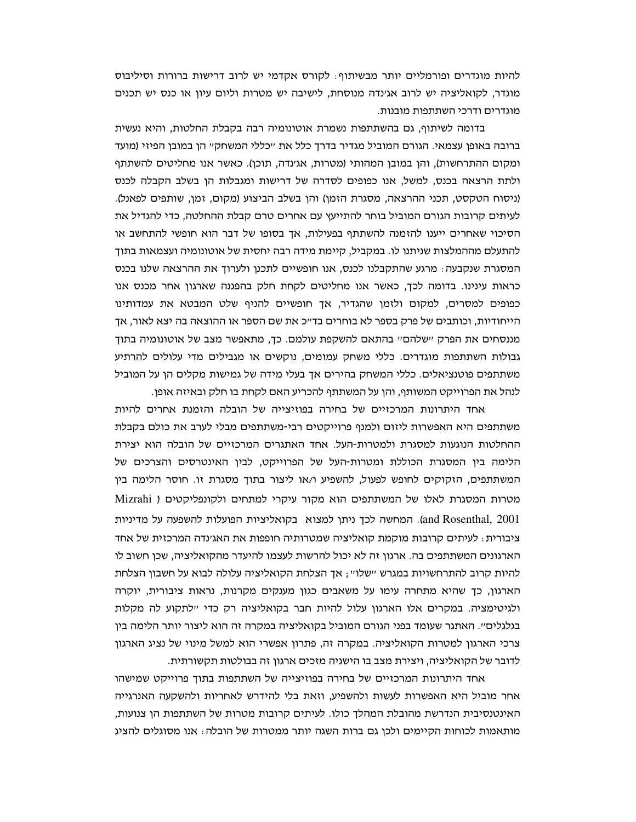להיות מוגדרים ופורמליים יותר מבשיתוף: לקורס אקדמי יש לרוב דרישות ברורות וסיליבוס מוגדר, לקואליציה יש לרוב אגינדה מנוסחת, לישיבה יש מטרות וליום עיון או כנס יש תכנים מוגדרים ודרכי השתתפות מובנות.

בדומה לשיתוף, גם בהשתתפות נשמרת אוטונומיה רבה בקבלת החלטות, והיא נעשית ברובה באופן עצמאי. הגורם המוביל מגדיר בדרך כלל את "כללי המשחק" הן במובן הפיזי (מועד ומקום ההתרחשות), והן במובן המהותי (מטרות, אגינדה, תוכן). כאשר אנו מחליטים להשתתף ולתת הרצאה בכנס, למשל, אנו כפופים לסדרה של דרישות ומגבלות הן בשלב הקבלה לכנס (ניסוח הטקסט, תכני ההרצאה, מסגרת הזמן) והן בשלב הביצוע (מקום, זמן, שותפים לפאנל). לעיתים קרובות הגורם המוביל בוחר להתייעץ עם אחרים טרם קבלת ההחלטה, כדי להגדיל את הסיכוי שאחרים ייענו להזמנה להשתתף בפעילות, אך בסופו של דבר הוא חופשי להתחשב או להתעלם מההמלצות שניתנו לו. במקביל, קיימת מידה רבה יחסית של אוטונומיה ועצמאות בתוך המסגרת שנקבעה: מרגע שהתקבלנו לכנס, אנו חופשיים לתכנן ולערוך את ההרצאה שלנו בכנס כראות עינינו. בדומה לכך, כאשר אנו מחליטים לקחת חלק בהפגנה שארגון אחר מכנס אנו כפופים למסרים, למקום ולזמן שהגדיר, אך חופשיים להניף שלט המבטא את עמדותינו הייחודיות, וכותבים של פרק בספר לא בוחרים בד״כ את שם הספר או ההוצאה בה יצא לאור. אד מננסחים את הפרק יישלהםיי בהתאם להשקפת עולמם. כך, מתאפשר מצב של אוטונומיה בתוך גבולות השתתפות מוגדרים. כללי משחק עמומים, נוקשים או מגבילים מדי עלולים להרתיע משתתפים פוטנציאלים. כללי המשחק בהירים אך בעלי מידה של גמישות מקלים הן על המוביל לנהל את הפרוייקט המשותף, והן על המשתתף להכריע האם לקחת בו חלק ובאיזה אופן.

אחד היתרונות המרכזיים של בחירה בפוזיצייה של הובלה והזמנת אחרים להיות משתתפים היא האפשרות ליזום ולמנף פרוייקטים רבי-משתתפים מבלי לערב את כולם בקבלת ההחלטות הנוגעות למסגרת ולמטרות-העל. אחד האתגרים המרכזיים של הובלה הוא יצירת הלימה בין המסגרת הכוללת ומטרות-העל של הפרוייקט, לבין האינטרסים והצרכים של המשתתפים, הזקוקים לחופש לפעול, להשפיע ו/או ליצור בתוך מסגרת זו. חוסר הלימה בין מטרות המסגרת לאלו של המשתתפים הוא מקור עיקרי למתחים ולקונפליקטים ( Mizrahi and Rosenthal, 2001). המחשה לכך ניתן למצוא בקואליציות הפועלות להשפעה על מדיניות ציבורית : לעיתים קרובות מוקמת קואליציה שמטרותיה חופפות את האגינדה המרכזית של אחד הארגונים המשתתפים בה. ארגון זה לא יכול להרשות לעצמו להיעדר מהקואליציה, שכו חשוב לו להיות קרוב להתרחשויות במגרש ישלוי׳; אך הצלחת הקואליציה עלולה לבוא על חשבון הצלחת הארגון, כך שהיא מתחרה עימו על משאבים כגון מענקים מקרנות, נראות ציבורית, יוקרה ולגיטימציה. במקרים אלו הארגון עלול להיות חבר בקואליציה רק כדי יילתקוע לה מקלות בגלגלים״. האתגר שעומד בפני הגורם המוביל בקואליציה במקרה זה הוא ליצור יותר הלימה בין צרכי הארגון למטרות הקואליציה. במקרה זה, פתרון אפשרי הוא למשל מינוי של נציג הארגון לדובר של הקואליציה, ויצירת מצב בו הישגיה מזכים ארגון זה בבולטות תקשורתית.

אחד היתרונות המרכזיים של בחירה בפוזיצייה של השתתפות בתוך פרוייקט שמישהו אחר מוביל היא האפשרות לעשות ולהשפיע, וזאת בלי להידרש לאחריות ולהשקעה האנרגייה האינטנסיבית הנדרשת מהובלת המהלך כולו. לעיתים קרובות מטרות של השתתפות הן צנועות, מותאמות לכוחות הקיימים ולכן גם ברות השגה יותר ממטרות של הובלה : אנו מסוגלים להציג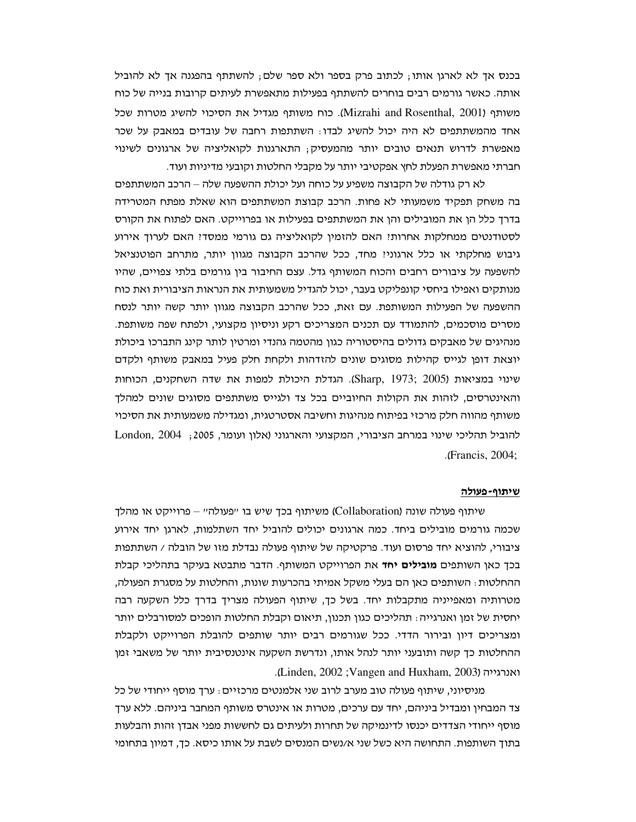בכנס אך לא לארגן אותו; לכתוב פרק בספר ולא ספר שלם; להשתתף בהפגנה אך לא להוביל אותה. כאשר גורמים רבים בוחרים להשתתף בפעילות מתאפשרת לעיתים קרובות בנייה של כוח משותף (Mizrahi and Rosenthal, 2001). כוח משותף מגדיל את הסיכוי להשיג מטרות שכל אחד מהמשתתפים לא היה יכול להשיג לבדו: השתתפות רחבה של עובדים במאבק על שכר מאפשרת לדרוש תנאים טובים יותר מהמעסיק; התארגנות לקואליציה של ארגונים לשינוי חברתי מאפשרת הפעלת לחץ אפקטיבי יותר על מקבלי החלטות וקובעי מדיניות ועוד.

לא רק גודלה של הקבוצה משפיע על כוחה ועל יכולת ההשפעה שלה – הרכב המשתתפים בה משחק תפקיד משמעותי לא פחות. הרכב קבוצת המשתתפים הוא שאלת מפתח המטרידה בדרך כלל הן את המובילים והן את המשתתפים בפעילות או בפרוייקט. האם לפתוח את הקורס לסטודנטים ממחלקות אחרות! האם להזמין לקואליציה גם גורמי ממסד! האם לערוך אירוע גיבוש מחלקתי או כלל ארגוני? מחד, ככל שהרכב הקבוצה מגוון יותר, מתרחב הפוטנציאל להשפעה על ציבורים רחבים והכוח המשותף גדל. עצם החיבור בין גורמים בלתי צפויים, שהיו מנותקים ואפילו ביחסי קונפליקט בעבר, יכול להגדיל משמעותית את הנראות הציבורית ואת כוח ההשפעה של הפעילות המשותפת. עם זאת, ככל שהרכב הקבוצה מגוון יותר קשה יותר לנסח מסרים מוסכמים, להתמודד עם תכנים המצריכים רקע וניסיון מקצועי, ולפתח שפה משותפת. מנהיגים של מאבקים גדולים בהיסטוריה כגון מהטמה גהנדי ומרטין לותר קינג התברכו ביכולת יוצאת דופן לגייס קהילות מסוגים שונים להזדהות ולקחת חלק פעיל במאבק משותף ולקדם שינוי במציאות (Sharp, 1973; 2005). הגדלת היכולת למפות את שדה השחקנים, הכוחות והאינטרסים, לזהות את הקולות החיוביים בכל צד ולגייס משתתפים מסוגים שונים למהלך משותף מהווה חלק מרכזי בפיתוח מנהיגות וחשיבה אסטרטגית, ומגדילה משמעותית את הסיכוי להוביל תהליכי שינוי במרחב הציבורי, המקצועי והארגוני (אלון ועומר, 2005; London, 2004 .(Francis, 2004;

#### <u>שיתוף-פעולה</u>

שיתוף פעולה שונה (Collaboration) משיתוף בכך שיש בו "פעולה" – פרוייקט או מהלך שכמה גורמים מובילים ביחד. כמה ארגונים יכולים להוביל יחד השתלמות, לארגן יחד אירוע ציבורי, להוציא יחד פרסום ועוד. פרקטיקה של שיתוף פעולה נבדלת מזו של הובלה / השתתפות בכך כאן השותפים **מובילים יחד** את הפרוייקט המשותף. הדבר מתבטא בעיקר בתהליכי קבלת ההחלטות : השותפים כאן הם בעלי משקל אמיתי בהכרעות שונות, והחלטות על מסגרת הפעולה, מטרותיה ומאפייניה מתקבלות יחד. בשל כך, שיתוף הפעולה מצריך בדרך כלל השקעה רבה יחסית של זמן ואנרגייה: תהליכים כגון תכנון, תיאום וקבלת החלטות הופכים למסורבלים יותר ומצריכים דיון ובירור הדדי. ככל שגורמים רבים יותר שותפים להובלת הפרוייקט ולקבלת ההחלטות כך קשה ותובעני יותר לנהל אותו, ונדרשת השקעה אינטנסיבית יותר של משאבי זמן ואנרגייה (Linden, 2002; Vangen and Huxham, 2003).

מניסיוני, שיתוף פעולה טוב מערב לרוב שני אלמנטים מרכזיים: ערך מוסף ייחודי של כל צד המבחין ומבדיל ביניהם, יחד עם ערכים, מטרות או אינטרס משותף המחבר ביניהם. ללא ערך מוסף ייחודי הצדדים יכנסו לדינמיקה של תחרות ולעיתים גם לחששות מפני אבדן זהות והבלעות בתוך השותפות. התחושה היא כשל שני א/נשים המנסים לשבת על אותו כיסא. כך, דמיון בתחומי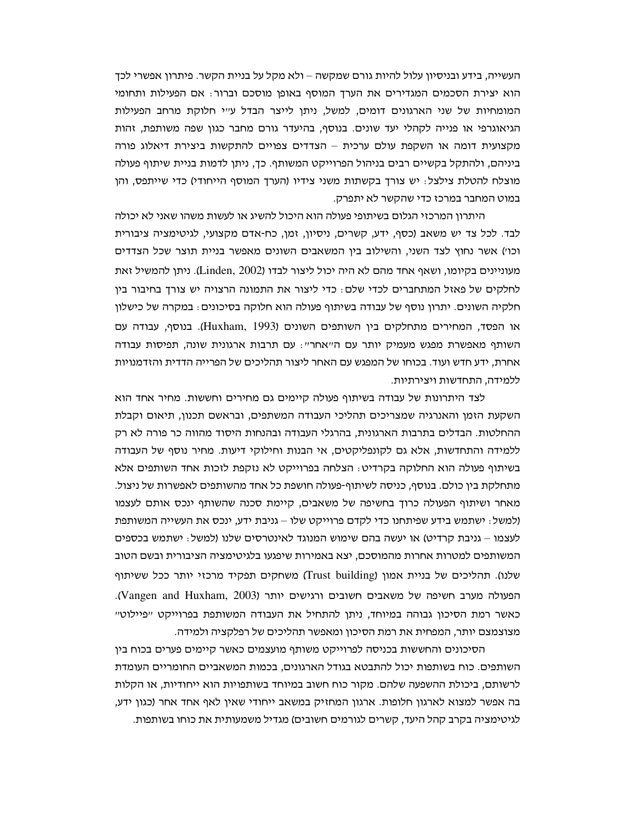העשייה, בידע ובניסיון עלול להיות גורם שמקשה – ולא מקל על בניית הקשר. פיתרון אפשרי לכך הוא יצירת הסכמים המגדירים את הערך המוסף באופן מוסכם וברור: אם הפעילות ותחומי המומחיות של שני הארגונים דומים, למשל, ניתן לייצר הבדל עייי חלוקת מרחב הפעילות הגיאוגרפי או פנייה לקהלי יעד שונים. בנוסף, בהיעדר גורם מחבר כגון שפה משותפת, זהות מקצועית דומה או השקפת עולם ערכית – הצדדים צפויים להתקשות ביצירת דיאלוג פורה ביניהם, ולהתקל בקשיים רבים בניהול הפרוייקט המשותף. כך, ניתן לדמות בניית שיתוף פעולה מוצלח להטלת צילצל: יש צורך בקשתות משני צידיו (הערך המוסף הייחודי) כדי שייתפס, והן במוט המחבר במרכז כדי שהקשר לא יתפרק.

היתרון המרכזי הגלום בשיתופי פעולה הוא היכול להשיג או לעשות משהו שאני לא יכולה לבד. לכל צד יש משאב (כסף, ידע, קשרים, ניסיון, זמן, כח-אדם מקצועי, לגיטימציה ציבורית וכו') אשר נחוץ לצד השני, והשילוב בין המשאבים השונים מאפשר בניית תוצר שכל הצדדים מעוניינים בקיומו, ושאף אחד מהם לא היה יכול ליצור לבדו (Linden, 2002). ניתו להמשיל זאת לחלקים של פאזל המתחברים לכדי שלם: כדי ליצור את התמונה הרצויה יש צורך בחיבור בין חלקיה השונים. יתרון נוסף של עבודה בשיתוף פעולה הוא חלוקה בסיכונים: במקרה של כישלון או הפסד, המחירים מתחלקים בין השותפים השונים (Huxham, 1993). בנוסף, עבודה עם השותף מאפשרת מפגש מעמיק יותר עם הייאחריי: עם תרבות ארגונית שונה, תפיסות עבודה אחרת, ידע חדש ועוד. בכוחו של המפגש עם האחר ליצור תהליכים של הפרייה הדדית והזדמנויות ללמידה, התחדשות ויצירתיות.

לצד היתרונות של עבודה בשיתוף פעולה קיימים גם מחירים וחששות. מחיר אחד הוא השקעת הזמן והאנרגיה שמצריכים תהליכי העבודה המשתפים, ובראשם תכנון, תיאום וקבלת ההחלטות. הבדלים בתרבות הארגונית, בהרגלי העבודה ובהנחות היסוד מהווה כר פורה לא רק ללמידה והתחדשות, אלא גם לקונפליקטים, אי הבנות וחילוקי דיעות. מחיר נוסף של העבודה בשיתוף פעולה הוא החלוקה בקרדיט: הצלחה בפרוייקט לא נזקפת לזכות אחד השותפים אלא מתחלקת בין כולם. בנוסף, כניסה לשיתוף-פעולה חושפת כל אחד מהשותפים לאפשרות של ניצול. מאחר ושיתוף הפעולה כרוך בחשיפה של משאבים, קיימת סכנה שהשותף ינכס אותם לעצמו (למשל: ישתמש בידע שפיתחנו כדי לקדם פרוייקט שלו – גניבת ידע, ינכס את העשייה המשותפת לעצמו – גניבת קרדיט) או יעשה בהם שימוש המנוגד לאינטרסים שלנו (למשל: ישתמש בכספים המשותפים למטרות אחרות מהמוסכם, יצא באמירות שיפגעו בלגיטימציה הציבורית ובשם הטוב שלנו). תהליכים של בניית אמון (Trust building) משחקים תפקיד מרכזי יותר ככל ששיתוף הפעולה מערב חשיפה של משאבים חשובים ורגישים יותר (Vangen and Huxham, 2003). כאשר רמת הסיכון גבוהה במיוחד, ניתן להתחיל את העבודה המשותפת בפרוייקט "פיילוט" מצוצמצם יותר, המפחית את רמת הסיכון ומאפשר תהליכים של רפלקציה ולמידה.

הסיכונים והחששות בכניסה לפרוייקט משותף מועצמים כאשר קיימים פערים בכוח בין השותפים. כוח בשותפות יכול להתבטא בגודל הארגונים, בכמות המשאביים החומריים העומדת לרשותם, ביכולת ההשפעה שלהם. מקור כוח חשוב במיוחד בשותפויות הוא ייחודיות, או הקלות בה אפשר למצוא לארגון חלופות. ארגון המחזיק במשאב ייחודי שאין לאף אחד אחר (כגון ידע, לגיטימציה בקרב קהל היעד, קשרים לגורמים חשובים) מגדיל משמעותית את כוחו בשותפות.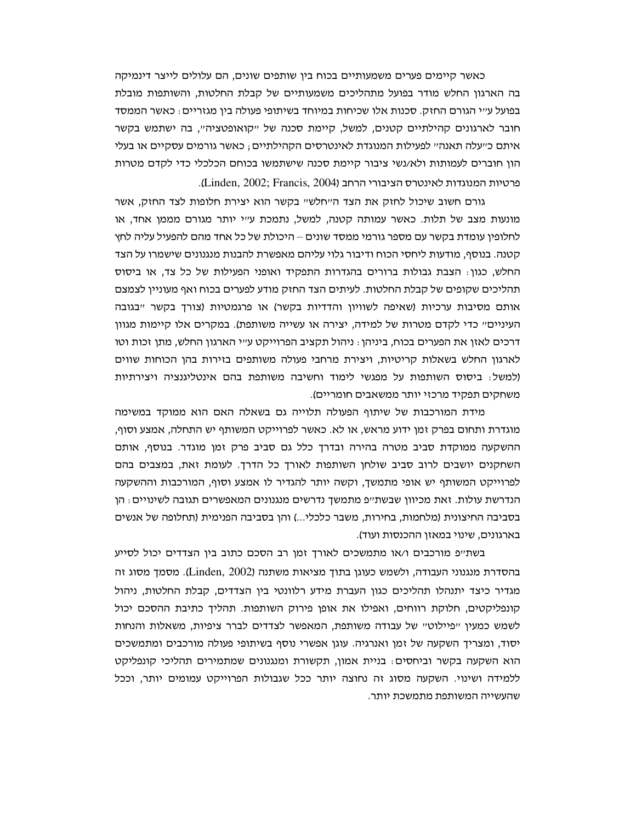כאשר קיימים פערים משמעותיים בכוח בין שותפים שונים, הם עלולים לייצר דינמיקה בה הארגון החלש מודר בפועל מתהליכים משמעותיים של קבלת החלטות, והשותפות מובלת בפועל ע׳׳י הגורם החזק. סכנות אלו שכיחות במיוחד בשיתופי פעולה בין מגזריים : כאשר הממסד חובר לארגונים קהילתיים קטנים, למשל, קיימת סכנה של ייקואופטציה׳י, בה ישתמש בקשר איתם כ״עלה תאנה״ לפעילות המנוגדת לאינטרסים הקהילתיים; כאשר גורמים עסקיים או בעלי הון חוברים לעמותות ולא/נשי ציבור קיימת סכנה שישתמשו בכוחם הכלכלי כדי לקדם מטרות פרטיות המנוגדות לאינטרס הציבורי הרחב (Linden, 2002; Francis, 2004).

גורם חשוב שיכול לחזק את הצד הייחלשיי בקשר הוא יצירת חלופות לצד החזק. אשר מונעות מצב של תלות. כאשר עמותה קטנה, למשל, נתמכת ע״י יותר מגורם מממן אחד, או לחלופין עומדת בקשר עם מספר גורמי ממסד שונים – היכולת של כל אחד מהם להפעיל עליה לחץ קטנה. בנוסף, מודעות ליחסי הכוח ודיבור גלוי עליהם מאפשרת להבנות מנגנונים שישמרו על הצד החלש, כגון: הצבת גבולות ברורים בהגדרות התפקיד ואופני הפעילות של כל צד, או ביסוס תהליכים שקופים של קבלת החלטות. לעיתים הצד החזק מודע לפערים בכוח ואף מעוניין לצמצם אותם מסיבות ערכיות (שאיפה לשוויון והדדיות בקשר) או פרגמטיות (צורך בקשר "בגובה העיניים" כדי לקדם מטרות של למידה, יצירה או עשייה משותפת). במקרים אלו קיימות מגוון דרכים לאזן את הפערים בכוח, ביניהן : ניהול תקציב הפרוייקט ע״י הארגון החלש, מתן זכות וטו לארגון החלש בשאלות קריטיות, ויצירת מרחבי פעולה משותפים בזירות בהו הכוחות שווים (למשל: ביסוס השותפות על מפגשי לימוד וחשיבה משותפת בהם אינטליגנציה ויצירתיות משחקים תפקיד מרכזי יותר ממשאבים חומריים).

מידת המורכבות של שיתוף הפעולה תלוייה גם בשאלה האם הוא ממוקד במשימה מוגדרת ותחום בפרק זמן ידוע מראש, או לא. כאשר לפרוייקט המשותף יש התחלה, אמצע וסוף, ההשקעה ממוקדת סביב מטרה בהירה ובדרך כלל גם סביב פרק זמן מוגדר. בנוסף, אותם השחקנים יושבים לרוב סביב שולחן השותפות לאורך כל הדרך. לעומת זאת, במצבים בהם לפרוייקט המשותף יש אופי מתמשך, וקשה יותר להגדיר לו אמצע וסוף, המורכבות וההשקעה הנדרשת עולות. זאת מכיוון שבשת״פ מתמשך נדרשים מנגנונים המאפשרים תגובה לשינויים : הן בסביבה החיצונית (מלחמות, בחירות, משבר כלכלי...) והן בסביבה הפנימית (תחלופה של אנשים בארגונים, שינוי במאזן ההכנסות ועוד).

בשת״פ מורכבים ו/או מתמשכים לאורך זמן רב הסכם כתוב בין הצדדים יכול לסייע בהסדרת מנגנוני העבודה, ולשמש כעוגן בתוך מציאות משתנה (Linden, 2002). מסמך מסוג זה מגדיר כיצד יתנהלו תהליכים כגון העברת מידע רלוונטי בין הצדדים, קבלת החלטות, ניהול קונפליקטים, חלוקת רווחים, ואפילו את אופן פירוק השותפות. תהליך כתיבת ההסכם יכול לשמש כמעין "פיילוט" של עבודה משותפת, המאפשר לצדדים לברר ציפיות, משאלות והנחות יסוד, ומצריך השקעה של זמן ואנרגיה. עוגן אפשרי נוסף בשיתופי פעולה מורכבים ומתמשכים הוא השקעה בקשר וביחסים: בניית אמון, תקשורת ומנגנונים שמתמירים תהליכי קונפליקט ללמידה ושינוי. השקעה מסוג זה נחוצה יותר ככל שגבולות הפרוייקט עמומים יותר, וככל שהעשייה המשותפת מתמשכת יותר.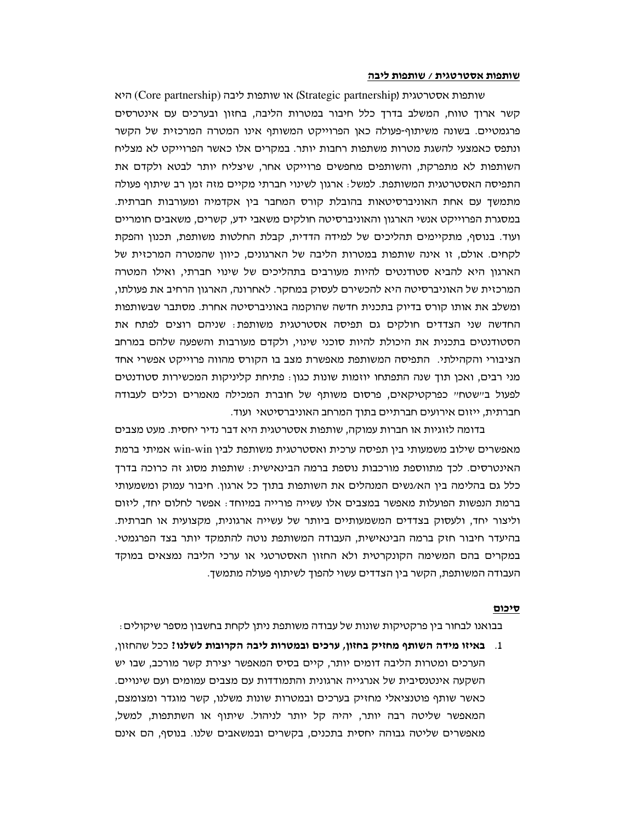#### שותפות אסטרטגית / שותפות ליבה

שותפות אסטרטגית (Strategic partnership) או שותפות ליבה (Core partnership) היא קשר ארוך טווח, המשלב בדרך כלל חיבור במטרות הליבה, בחזון ובערכים עם אינטרסים פרגמטיים. בשונה משיתוף-פעולה כאן הפרוייקט המשותף אינו המטרה המרכזית של הקשר ונתפס כאמצעי להשגת מטרות משתפות רחבות יותר. במקרים אלו כאשר הפרוייקט לא מצליח השותפות לא מתפרקת, והשותפים מחפשים פרוייקט אחר, שיצליח יותר לבטא ולקדם את התפיסה האסטרטגית המשותפת. למשל: ארגון לשינוי חברתי מקיים מזה זמן רב שיתוף פעולה מתמשך עם אחת האוניברסיטאות בהובלת קורס המחבר בין אקדמיה ומעורבות חברתית. במסגרת הפרוייקט אנשי הארגון והאוניברסיטה חולקים משאבי ידע, קשרים, משאבים חומריים ועוד. בנוסף, מתקיימים תהליכים של למידה הדדית, קבלת החלטות משותפת, תכנון והפקת לקחים. אולם, זו אינה שותפות במטרות הליבה של הארגונים, כיוון שהמטרה המרכזית של הארגון היא להביא סטודנטים להיות מעורבים בתהליכים של שינוי חברתי, ואילו המטרה המרכזית של האוניברסיטה היא להכשירם לעסוק במחקר. לאחרונה, הארגון הרחיב את פעולתו, ומשלב את אותו קורס בדיוק בתכנית חדשה שהוקמה באוניברסיטה אחרת. מסתבר שבשותפות החדשה שני הצדדים חולקים גם תפיסה אסטרטגית משותפת: שניהם רוצים לפתח את הסטודנטים בתכנית את היכולת להיות סוכני שינוי, ולקדם מעורבות והשפעה שלהם במרחב הציבורי והקהילתי. התפיסה המשותפת מאפשרת מצב בו הקורס מהווה פרוייקט אפשרי אחד מני רבים, ואכן תוך שנה התפתחו יוזמות שונות כגון: פתיחת קליניקות המכשירות סטודנטים לפעול ביישטחיי כפרקטיקאים, פרסום משותף של חוברת המכילה מאמרים וכלים לעבודה חברתית, ייזום אירועים חברתיים בתוך המרחב האוניברסיטאי ועוד.

בדומה לזוגיות או חברות עמוקה, שותפות אסטרטגית היא דבר נדיר יחסית. מעט מצבים מאפשרים שילוב משמעותי בין תפיסה ערכית ואסטרטגית משותפת לבין win-win אמיתי ברמת האינטרסים. לכך מתווספת מורכבות נוספת ברמה הבינאישית: שותפות מסוג זה כרוכה בדרך כלל גם בהלימה בין הא/נשים המנהלים את השותפות בתוך כל ארגון. חיבור עמוק ומשמעותי ברמת הנפשות הפועלות מאפשר במצבים אלו עשייה פורייה במיוחד: אפשר לחלום יחד, ליזום וליצור יחד, ולעסוק בצדדים המשמעותיים ביותר של עשייה ארגונית, מקצועית או חברתית. בהיעדר חיבור חזק ברמה הבינאישית, העבודה המשותפת נוטה להתמקד יותר בצד הפרגמטי. במקרים בהם המשימה הקונקרטית ולא החזון האסטרטגי או ערכי הליבה נמצאים במוקד העבודה המשותפת, הקשר בין הצדדים עשוי להפוך לשיתוף פעולה מתמשך.

#### סיכום

בבואנו לבחור בין פרקטיקות שונות של עבודה משותפת ניתן לקחת בחשבון מספר שיקולים :

1. – באיזו מידה השותף מחזיק בחזון, ערכים ובמטרות ליבה הקרובות לשלנו? ככל שהחזון, הערכים ומטרות הליבה דומים יותר, קיים בסיס המאפשר יצירת קשר מורכב, שבו יש השקעה אינטנסיבית של אנרגייה ארגונית והתמודדות עם מצבים עמומים ועם שינויים. כאשר שותף פוטנציאלי מחזיק בערכים ובמטרות שונות משלנו, קשר מוגדר ומצומצם, המאפשר שליטה רבה יותר, יהיה קל יותר לניהול. שיתוף או השתתפות, למשל, מאפשרים שליטה גבוהה יחסית בתכנים, בקשרים ובמשאבים שלנו. בנוסף, הם אינם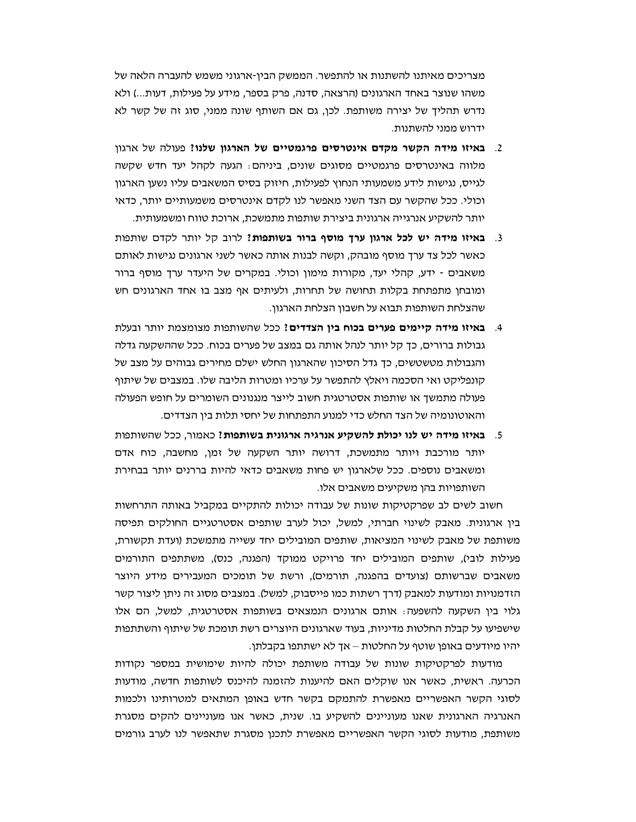מצריכים מאיתנו להשתנות או להתפשר. הממשק הבין-ארגוני משמש להעברה הלאה של משהו שנוצר באחד הארגונים (הרצאה, סדנה, פרק בספר, מידע על פעילות, דעות...) ולא נדרש תהליך של יצירה משותפת. לכן, גם אם השותף שונה ממני, סוג זה של קשר לא ידרוש ממני להשתנות.

- 2. באיזו מידה הקשר מקדם אינטרסים פרגמטיים של הארגון שלנו? פעולה של ארגון מלווה באינטרסים פרגמטיים מסוגים שונים, ביניהם: הגעה לקהל יעד חדש שקשה לגייס, נגישות לידע משמעותי הנחוץ לפעילות, חיזוק בסיס המשאבים עליו נשען הארגון וכולי. ככל שהקשר עם הצד השני מאפשר לנו לקדם אינטרסים משמעותיים יותר, כדאי יותר להשקיע אנרגייה ארגונית ביצירת שותפות מתמשכת, ארוכת טווח ומשמעותית.
- 3. באיזו מידה יש לכל ארגון ערך מוסף ברור בשותפות? לרוב קל יותר לקדם שותפות כאשר לכל צד ערך מוסף מובהק, וקשה לבנות אותה כאשר לשני ארגונים נגישות לאותם משאבים - ידע, קהלי יעד, מקורות מימון וכולי. במקרים של היעדר ערך מוסף ברור ומובחן מתפתחת בקלות תחושה של תחרות, ולעיתים אף מצב בו אחד הארגונים חש שהצלחת השותפות תבוא על חשבון הצלחת הארגון.
- 4. **באיזו מידה קיימים פערים בכוח בין הצדדים:** ככל שהשותפות מצומצמת יותר ובעלת גבולות ברורים, כך קל יותר לנהל אותה גם במצב של פערים בכוח. ככל שההשקעה גדלה והגבולות מטשטשים, כך גדל הסיכון שהארגון החלש ישלם מחירים גבוהים על מצב של קונפליקט ואי הסכמה ויאלץ להתפשר על ערכיו ומטרות הליבה שלו. במצבים של שיתוף פעולה מתמשך או שותפות אסטרטגית חשוב לייצר מנגנונים השומרים על חופש הפעולה והאוטונומיה של הצד החלש כדי למנוע התפתחות של יחסי תלות בין הצדדים.
- 5. באיזו מידה יש לנו יכולת להשקיע אנרגיה ארגונית בשותפות? כאמור, ככל שהשותפות יותר מורכבת ויותר מתמשכת, דרושה יותר השקעה של זמן, מחשבה, כוח אדם ומשאבים נוספים. ככל שלארגון יש פחות משאבים כדאי להיות בררנים יותר בבחירת השותפויות בהו משקיעים משאבים אלו.

חשוב לשים לב שפרקטיקות שונות של עבודה יכולות להתקיים במקביל באותה התרחשות בין ארגונית. מאבק לשינוי חברתי, למשל, יכול לערב שותפים אסטרטגיים החולקים תפיסה משותפת של מאבק לשינוי המציאות, שותפים המובילים יחד עשייה מתמשכת (ועדת תקשורת, פעילות לובי), שותפים המובילים יחד פרויקט ממוקד (הפגנה, כנס), משתתפים התורמים משאבים שברשותם (צועדים בהפגנה, תורמים), ורשת של תומכים המעבירים מידע היוצר הזדמנויות ומודעות למאבק (דרך רשתות כמו פייסבוק, למשל). במצבים מסוג זה ניתן ליצור קשר גלוי בין השקעה להשפעה: אותם ארגונים הנמצאים בשותפות אסטרטגית, למשל, הם אלו שישפיעו על קבלת החלטות מדיניות, בעוד שארגונים היוצרים רשת תומכת של שיתוף והשתתפות יהיו מיודעים באופן שוטף על החלטות – אך לא ישתתפו בקבלתן.

מודעות לפרקטיקות שונות של עבודה משותפת יכולה להיות שימושית במספר נקודות הכרעה. ראשית, כאשר אנו שוקלים האם להיענות להזמנה להיכנס לשותפות חדשה, מודעות לסוגי הקשר האפשריים מאפשרת להתמקם בקשר חדש באופן המתאים למטרותינו ולכמות האנרגיה הארגונית שאנו מעוניינים להשקיע בו. שנית, כאשר אנו מעוניינים להקים מסגרת משותפת, מודעות לסוגי הקשר האפשריים מאפשרת לתכנן מסגרת שתאפשר לנו לערב גורמים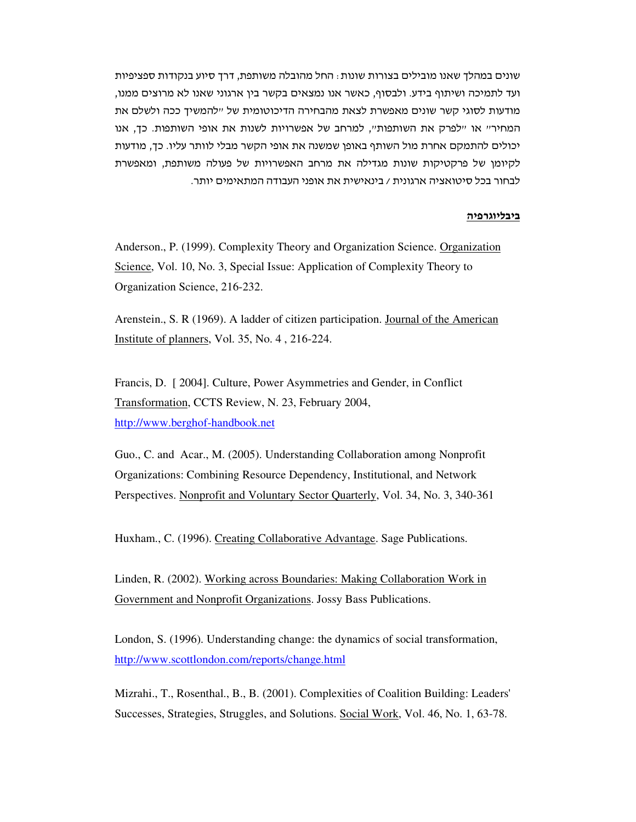שונים במהלך שאנו מובילים בצורות שונות : החל מהובלה משותפת, דרך סיוע בנקודות ספציפיות ועד לתמיכה ושיתוף בידע. ולבסוף, כאשר אנו נמצאים בקשר בין ארגוני שאנו לא מרוצים ממנו, מודעות לסוגי קשר שונים מאפשרת לצאת מהבחירה הדיכוטומית של ״להמשיך ככה ולשלם את המחיריי או יילפרק את השותפותיי, למרחב של אפשרויות לשנות את אופי השותפות. כד, אנו יכולים להתמקם אחרת מול השותף באופן שמשנה את אופי הקשר מבלי לוותר עליו. כך, מודעות לקיומן של פרקטיקות שונות מגדילה את מרחב האפשרויות של פעולה משותפת, ומאפשרת לבחור בכל סיטואציה ארגונית / בינאישית את אופני העבודה המתאימים יותר.

### <u>ביבליוגרפיה</u>

Anderson., P. (1999). Complexity Theory and Organization Science. Organization Science, Vol. 10, No. 3, Special Issue: Application of Complexity Theory to Organization Science, 216-232.

Arenstein., S. R (1969). A ladder of citizen participation. Journal of the American Institute of planners, Vol. 35, No. 4, 216-224.

Francis, D. [2004]. Culture, Power Asymmetries and Gender, in Conflict Transformation, CCTS Review, N. 23, February 2004, http://www.berghof-handbook.net

Guo., C. and Acar., M. (2005). Understanding Collaboration among Nonprofit Organizations: Combining Resource Dependency, Institutional, and Network Perspectives. Nonprofit and Voluntary Sector Quarterly, Vol. 34, No. 3, 340-361

Huxham., C. (1996). Creating Collaborative Advantage. Sage Publications.

Linden, R. (2002). Working across Boundaries: Making Collaboration Work in Government and Nonprofit Organizations. Jossy Bass Publications.

London, S. (1996). Understanding change: the dynamics of social transformation, http://www.scottlondon.com/reports/change.html

Mizrahi., T., Rosenthal., B., B. (2001). Complexities of Coalition Building: Leaders' Successes, Strategies, Struggles, and Solutions. Social Work, Vol. 46, No. 1, 63-78.